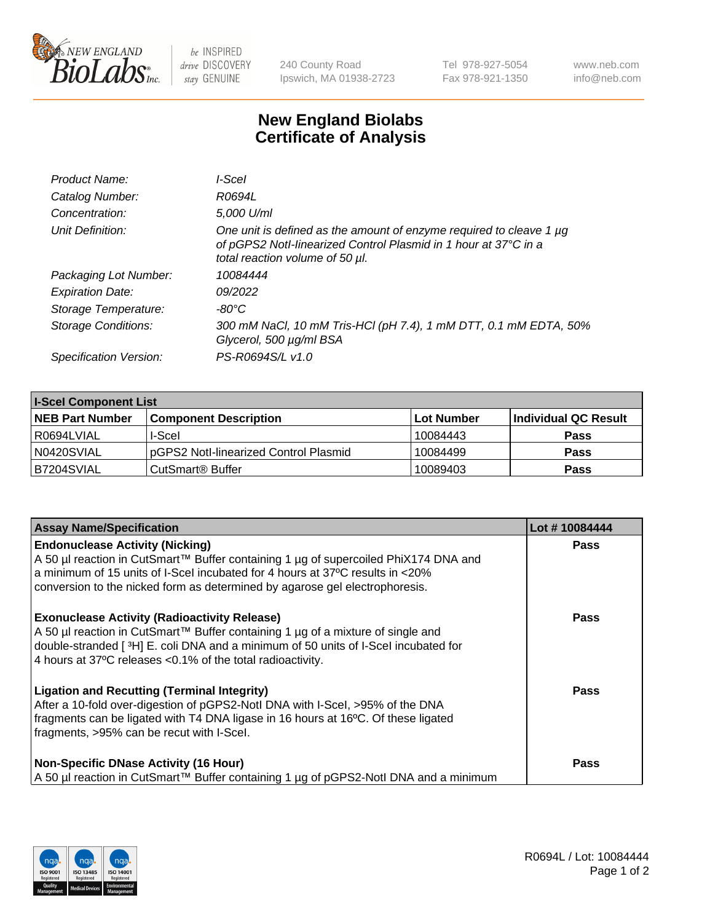

 $be$  INSPIRED drive DISCOVERY stay GENUINE

240 County Road Ipswich, MA 01938-2723 Tel 978-927-5054 Fax 978-921-1350 www.neb.com info@neb.com

## **New England Biolabs Certificate of Analysis**

| Product Name:           | l-Scel                                                                                                                                                                    |
|-------------------------|---------------------------------------------------------------------------------------------------------------------------------------------------------------------------|
| Catalog Number:         | R0694L                                                                                                                                                                    |
| Concentration:          | 5,000 U/ml                                                                                                                                                                |
| Unit Definition:        | One unit is defined as the amount of enzyme required to cleave 1 µg<br>of pGPS2 Notl-linearized Control Plasmid in 1 hour at 37°C in a<br>total reaction volume of 50 µl. |
| Packaging Lot Number:   | 10084444                                                                                                                                                                  |
| <b>Expiration Date:</b> | 09/2022                                                                                                                                                                   |
| Storage Temperature:    | -80°C                                                                                                                                                                     |
| Storage Conditions:     | 300 mM NaCl, 10 mM Tris-HCl (pH 7.4), 1 mM DTT, 0.1 mM EDTA, 50%<br>Glycerol, 500 µg/ml BSA                                                                               |
| Specification Version:  | PS-R0694S/L v1.0                                                                                                                                                          |

| <b>I-Scel Component List</b> |                                        |              |                      |  |
|------------------------------|----------------------------------------|--------------|----------------------|--|
| <b>NEB Part Number</b>       | <b>Component Description</b>           | l Lot Number | Individual QC Result |  |
| R0694LVIAL                   | I-Scel                                 | 10084443     | <b>Pass</b>          |  |
| N0420SVIAL                   | IpGPS2 Notl-linearized Control Plasmid | 10084499     | <b>Pass</b>          |  |
| B7204SVIAL                   | CutSmart <sup>®</sup> Buffer           | 10089403     | <b>Pass</b>          |  |

| <b>Assay Name/Specification</b>                                                                                                                                                                                                                                                                | Lot #10084444 |
|------------------------------------------------------------------------------------------------------------------------------------------------------------------------------------------------------------------------------------------------------------------------------------------------|---------------|
| <b>Endonuclease Activity (Nicking)</b><br>A 50 µl reaction in CutSmart™ Buffer containing 1 µg of supercoiled PhiX174 DNA and<br>a minimum of 15 units of I-Scel incubated for 4 hours at 37 °C results in <20%<br>conversion to the nicked form as determined by agarose gel electrophoresis. | <b>Pass</b>   |
| <b>Exonuclease Activity (Radioactivity Release)</b><br>A 50 µl reaction in CutSmart™ Buffer containing 1 µg of a mixture of single and<br>double-stranded [3H] E. coli DNA and a minimum of 50 units of I-Scel incubated for<br>4 hours at 37°C releases <0.1% of the total radioactivity.     | <b>Pass</b>   |
| <b>Ligation and Recutting (Terminal Integrity)</b><br>After a 10-fold over-digestion of pGPS2-Notl DNA with I-Scel, >95% of the DNA<br>fragments can be ligated with T4 DNA ligase in 16 hours at 16°C. Of these ligated<br>fragments, >95% can be recut with I-Scel.                          | <b>Pass</b>   |
| <b>Non-Specific DNase Activity (16 Hour)</b><br>A 50 µl reaction in CutSmart™ Buffer containing 1 µg of pGPS2-Notl DNA and a minimum                                                                                                                                                           | <b>Pass</b>   |